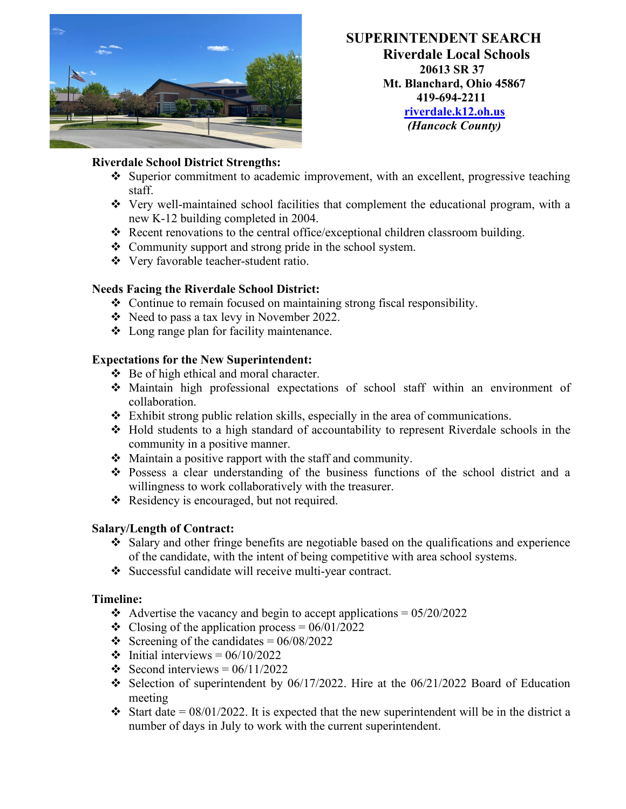

**SUPERINTENDENT SEARCH Riverdale Local Schools 20613 SR 37 Mt. Blanchard, Ohio 45867 419-694-2211 [riverdale.k12.oh.us](http://www.riverdale.k12.oh.us/)**  *(Hancock County)*

# **Riverdale School District Strengths:**

- Superior commitment to academic improvement, with an excellent, progressive teaching staff.
- $\div$  Very well-maintained school facilities that complement the educational program, with a new K-12 building completed in 2004.
- Recent renovations to the central office/exceptional children classroom building.
- Community support and strong pride in the school system.
- Very favorable teacher-student ratio.

# **Needs Facing the Riverdale School District:**

- Continue to remain focused on maintaining strong fiscal responsibility.
- $\div$  Need to pass a tax levy in November 2022.
- Long range plan for facility maintenance.

### **Expectations for the New Superintendent:**

- Be of high ethical and moral character.
- Maintain high professional expectations of school staff within an environment of collaboration.
- Exhibit strong public relation skills, especially in the area of communications.
- Hold students to a high standard of accountability to represent Riverdale schools in the community in a positive manner.
- Maintain a positive rapport with the staff and community.
- Possess a clear understanding of the business functions of the school district and a willingness to work collaboratively with the treasurer.
- \* Residency is encouraged, but not required.

### **Salary/Length of Contract:**

- Salary and other fringe benefits are negotiable based on the qualifications and experience of the candidate, with the intent of being competitive with area school systems.
- Successful candidate will receive multi-year contract.

### **Timeline:**

- Advertise the vacancy and begin to accept applications =  $05/20/2022$
- $\div$  Closing of the application process = 06/01/2022
- Screening of the candidates =  $06/08/2022$
- $\div$  Initial interviews = 06/10/2022
- Second interviews =  $06/11/2022$
- Selection of superintendent by  $06/17/2022$ . Hire at the  $06/21/2022$  Board of Education meeting
- Start date =  $08/01/2022$ . It is expected that the new superintendent will be in the district a number of days in July to work with the current superintendent.